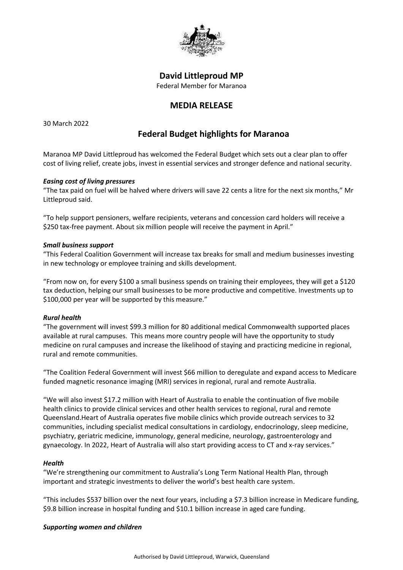

## **David Littleproud MP**

Federal Member for Maranoa

# **MEDIA RELEASE**

30 March 2022

# **Federal Budget highlights for Maranoa**

Maranoa MP David Littleproud has welcomed the Federal Budget which sets out a clear plan to offer cost of living relief, create jobs, invest in essential services and stronger defence and national security.

#### *Easing cost of living pressures*

"The tax paid on fuel will be halved where drivers will save 22 cents a litre for the next six months," Mr Littleproud said.

"To help support pensioners, welfare recipients, veterans and concession card holders will receive a \$250 tax-free payment. About six million people will receive the payment in April."

#### *Small business support*

"This Federal Coalition Government will increase tax breaks for small and medium businesses investing in new technology or employee training and skills development.

"From now on, for every \$100 a small business spends on training their employees, they will get a \$120 tax deduction, helping our small businesses to be more productive and competitive. Investments up to \$100,000 per year will be supported by this measure."

### *Rural health*

"The government will invest \$99.3 million for 80 additional medical Commonwealth supported places available at rural campuses. This means more country people will have the opportunity to study medicine on rural campuses and increase the likelihood of staying and practicing medicine in regional, rural and remote communities.

"The Coalition Federal Government will invest \$66 million to deregulate and expand access to Medicare funded magnetic resonance imaging (MRI) services in regional, rural and remote Australia.

"We will also invest \$17.2 million with Heart of Australia to enable the continuation of five mobile health clinics to provide clinical services and other health services to regional, rural and remote Queensland.Heart of Australia operates five mobile clinics which provide outreach services to 32 communities, including specialist medical consultations in cardiology, endocrinology, sleep medicine, psychiatry, geriatric medicine, immunology, general medicine, neurology, gastroenterology and gynaecology. In 2022, Heart of Australia will also start providing access to CT and x-ray services."

### *Health*

"We're strengthening our commitment to Australia's Long Term National Health Plan, through important and strategic investments to deliver the world's best health care system.

"This includes \$537 billion over the next four years, including a \$7.3 billion increase in Medicare funding, \$9.8 billion increase in hospital funding and \$10.1 billion increase in aged care funding.

#### *Supporting women and children*